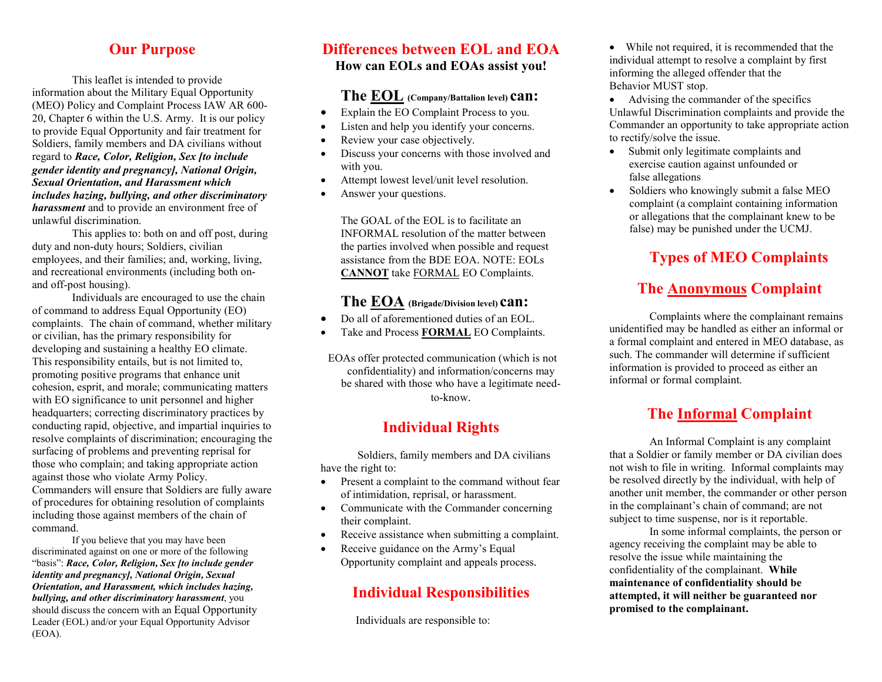#### **Our Purpose**

This leaflet is intended to provide information about the Military Equal Opportunity (MEO) Policy and Complaint Process IAW AR 600- 20, Chapter 6 within the U.S. Army. It is our policy to provide Equal Opportunity and fair treatment for Soldiers, family members and DA civilians without regard to *Race, Color, Religion, Sex [to include gender identity and pregnancy], National Origin, Sexual Orientation, and Harassment which includes hazing, bullying, and other discriminatory harassment* and to provide an environment free of unlawful discrimination.

This applies to: both on and off post, during duty and non-duty hours; Soldiers, civilian employees, and their families; and, working, living, and recreational environments (including both onand off-post housing).

Individuals are encouraged to use the chain of command to address Equal Opportunity (EO) complaints. The chain of command, whether military or civilian, has the primary responsibility for developing and sustaining a healthy EO climate. This responsibility entails, but is not limited to, promoting positive programs that enhance unit cohesion, esprit, and morale; communicating matters with EO significance to unit personnel and higher headquarters; correcting discriminatory practices by conducting rapid, objective, and impartial inquiries to resolve complaints of discrimination; encouraging the surfacing of problems and preventing reprisal for those who complain; and taking appropriate action against those who violate Army Policy. Commanders will ensure that Soldiers are fully aware of procedures for obtaining resolution of complaints including those against members of the chain of command.

If you believe that you may have been discriminated against on one or more of the following "basis": *Race, Color, Religion, Sex [to include gender identity and pregnancy], National Origin, Sexual Orientation, and Harassment, which includes hazing, bullying, and other discriminatory harassment*, you should discuss the concern with an Equal Opportunity Leader (EOL) and/or your Equal Opportunity Advisor (EOA).

#### **Differences between EOL and EOA How can EOLs and EOAs assist you!**

#### **The EOL (Company/Battalion level) can:**

- Explain the EO Complaint Process to you.
- Listen and help you identify your concerns.
- Review your case objectively.
- Discuss your concerns with those involved and with you.
- Attempt lowest level/unit level resolution.
- Answer your questions.

The GOAL of the EOL is to facilitate an INFORMAL resolution of the matter between the parties involved when possible and request assistance from the BDE EOA. NOTE: EOLs **CANNOT** take FORMAL EO Complaints.

#### **The EOA (Brigade/Division level) can:**

- Do all of aforementioned duties of an EOL.
- Take and Process **FORMAL** EO Complaints.

EOAs offer protected communication (which is not confidentiality) and information/concerns may be shared with those who have a legitimate needto-know.

# **Individual Rights**

 Soldiers, family members and DA civilians have the right to:

- Present a complaint to the command without fear of intimidation, reprisal, or harassment.
- Communicate with the Commander concerning their complaint.
- Receive assistance when submitting a complaint.
- Receive guidance on the Army's Equal Opportunity complaint and appeals process.

# **Individual Responsibilities**

Individuals are responsible to:

• While not required, it is recommended that the individual attempt to resolve a complaint by first informing the alleged offender that the Behavior MUST stop.

• Advising the commander of the specifics Unlawful Discrimination complaints and provide the Commander an opportunity to take appropriate action to rectify/solve the issue.

- Submit only legitimate complaints and exercise caution against unfounded or false allegations
- Soldiers who knowingly submit a false MEO complaint (a complaint containing information or allegations that the complainant knew to be false) may be punished under the UCMJ.

# **Types of MEO Complaints**

# **The Anonymous Complaint**

Complaints where the complainant remains unidentified may be handled as either an informal or a formal complaint and entered in MEO database, as such. The commander will determine if sufficient information is provided to proceed as either an informal or formal complaint.

# **The Informal Complaint**

An Informal Complaint is any complaint that a Soldier or family member or DA civilian does not wish to file in writing. Informal complaints may be resolved directly by the individual, with help of another unit member, the commander or other person in the complainant's chain of command; are not subject to time suspense, nor is it reportable.

In some informal complaints, the person or agency receiving the complaint may be able to resolve the issue while maintaining the confidentiality of the complainant. **While maintenance of confidentiality should be attempted, it will neither be guaranteed nor promised to the complainant.**